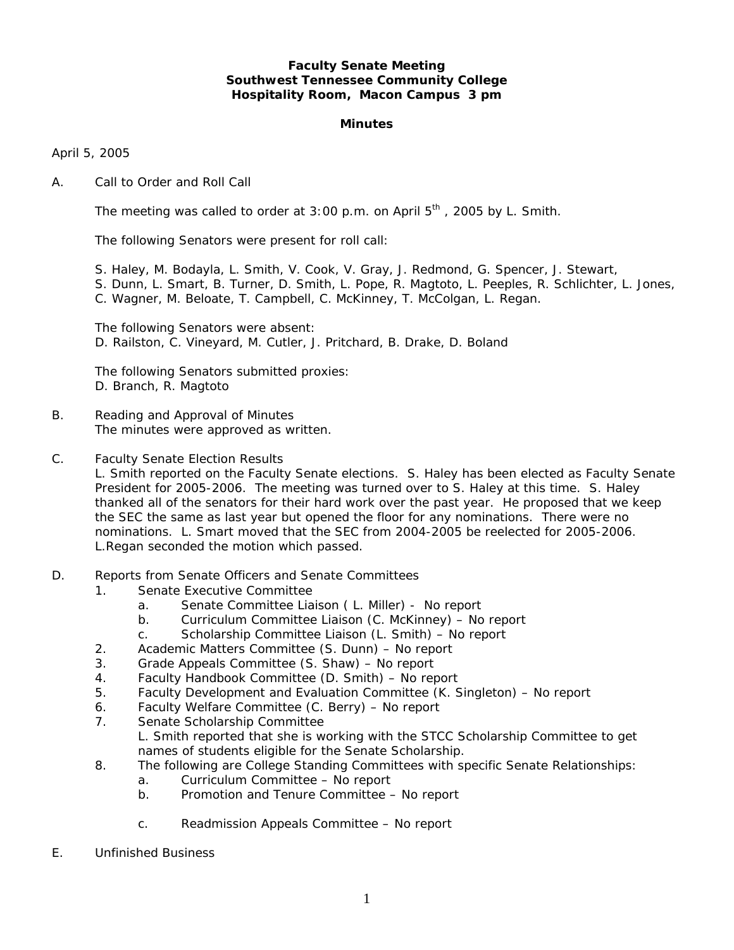## **Faculty Senate Meeting Southwest Tennessee Community College Hospitality Room, Macon Campus 3 pm**

#### **Minutes**

April 5, 2005

A. Call to Order and Roll Call

The meeting was called to order at  $3:00$  p.m. on April  $5<sup>th</sup>$ , 2005 by L. Smith.

The following Senators were present for roll call:

S. Haley, M. Bodayla, L. Smith, V. Cook, V. Gray, J. Redmond, G. Spencer, J. Stewart,

- S. Dunn, L. Smart, B. Turner, D. Smith, L. Pope, R. Magtoto, L. Peeples, R. Schlichter, L. Jones,
- C. Wagner, M. Beloate, T. Campbell, C. McKinney, T. McColgan, L. Regan.

 The following Senators were absent: D. Railston, C. Vineyard, M. Cutler, J. Pritchard, B. Drake, D. Boland

 The following Senators submitted proxies: D. Branch, R. Magtoto

- B. Reading and Approval of Minutes The minutes were approved as written.
- C. Faculty Senate Election Results

L. Smith reported on the Faculty Senate elections. S. Haley has been elected as Faculty Senate President for 2005-2006. The meeting was turned over to S. Haley at this time. S. Haley thanked all of the senators for their hard work over the past year. He proposed that we keep the SEC the same as last year but opened the floor for any nominations. There were no nominations. L. Smart moved that the SEC from 2004-2005 be reelected for 2005-2006. L.Regan seconded the motion which passed.

- D. Reports from Senate Officers and Senate Committees
	- 1. Senate Executive Committee
		- a. Senate Committee Liaison ( L. Miller) No report
		- b. Curriculum Committee Liaison (C. McKinney) No report
		- c. Scholarship Committee Liaison (L. Smith) No report
	- 2. Academic Matters Committee (S. Dunn) No report
	- 3. Grade Appeals Committee (S. Shaw) No report
	- 4. Faculty Handbook Committee (D. Smith) No report
	- 5. Faculty Development and Evaluation Committee (K. Singleton) No report
	- 6. Faculty Welfare Committee (C. Berry) No report
	- 7. Senate Scholarship Committee L. Smith reported that she is working with the STCC Scholarship Committee to get names of students eligible for the Senate Scholarship.
	- 8. The following are College Standing Committees with specific Senate Relationships:
		- a. Curriculum Committee No report
		- b. Promotion and Tenure Committee No report
		- c. Readmission Appeals Committee No report
- E. Unfinished Business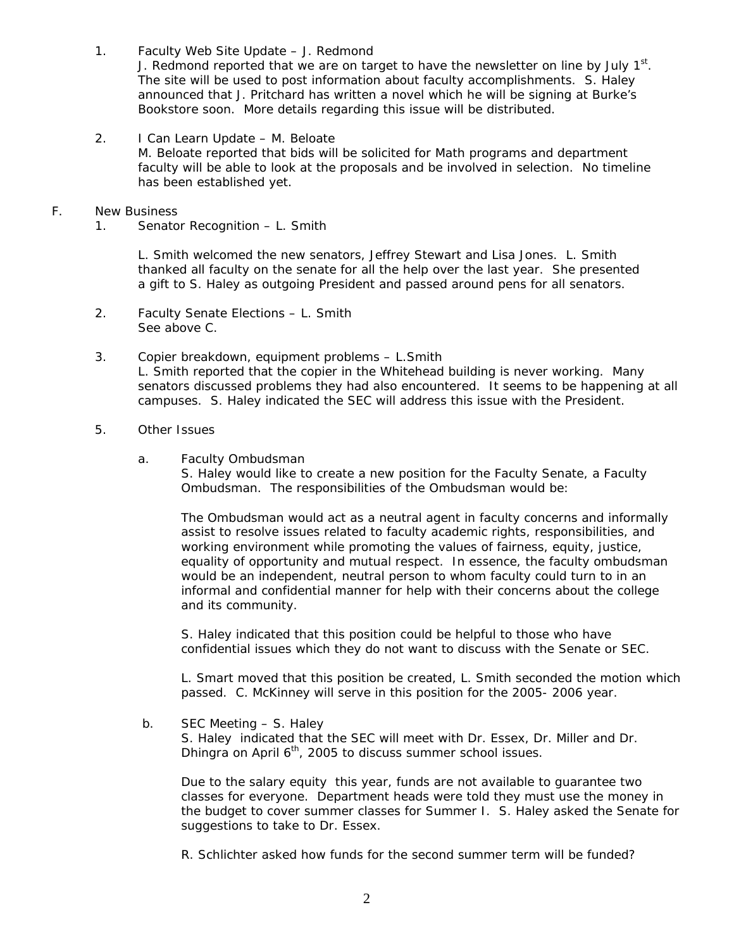- 1. Faculty Web Site Update J. Redmond J. Redmond reported that we are on target to have the newsletter on line by July  $1<sup>st</sup>$ . The site will be used to post information about faculty accomplishments. S. Haley announced that J. Pritchard has written a novel which he will be signing at Burke's Bookstore soon. More details regarding this issue will be distributed.
- 2. I Can Learn Update M. Beloate M. Beloate reported that bids will be solicited for Math programs and department faculty will be able to look at the proposals and be involved in selection. No timeline has been established yet.
- F. New Business
	- 1. Senator Recognition L. Smith

 L. Smith welcomed the new senators, Jeffrey Stewart and Lisa Jones. L. Smith thanked all faculty on the senate for all the help over the last year. She presented a gift to S. Haley as outgoing President and passed around pens for all senators.

- 2. Faculty Senate Elections L. Smith See above C.
- 3. Copier breakdown, equipment problems L.Smith L. Smith reported that the copier in the Whitehead building is never working. Many senators discussed problems they had also encountered. It seems to be happening at all campuses. S. Haley indicated the SEC will address this issue with the President.
- 5. Other Issues
	- a. Faculty Ombudsman

S. Haley would like to create a new position for the Faculty Senate, a Faculty Ombudsman. The responsibilities of the Ombudsman would be:

The Ombudsman would act as a neutral agent in faculty concerns and informally assist to resolve issues related to faculty academic rights, responsibilities, and working environment while promoting the values of fairness, equity, justice, equality of opportunity and mutual respect. In essence, the faculty ombudsman would be an independent, neutral person to whom faculty could turn to in an informal and confidential manner for help with their concerns about the college and its community.

S. Haley indicated that this position could be helpful to those who have confidential issues which they do not want to discuss with the Senate or SEC.

L. Smart moved that this position be created, L. Smith seconded the motion which passed. C. McKinney will serve in this position for the 2005- 2006 year.

b. SEC Meeting – S. Haley

 S. Haley indicated that the SEC will meet with Dr. Essex, Dr. Miller and Dr. Dhingra on April  $6<sup>th</sup>$ , 2005 to discuss summer school issues.

Due to the salary equity this year, funds are not available to guarantee two classes for everyone. Department heads were told they must use the money in the budget to cover summer classes for Summer I. S. Haley asked the Senate for suggestions to take to Dr. Essex.

R. Schlichter asked how funds for the second summer term will be funded?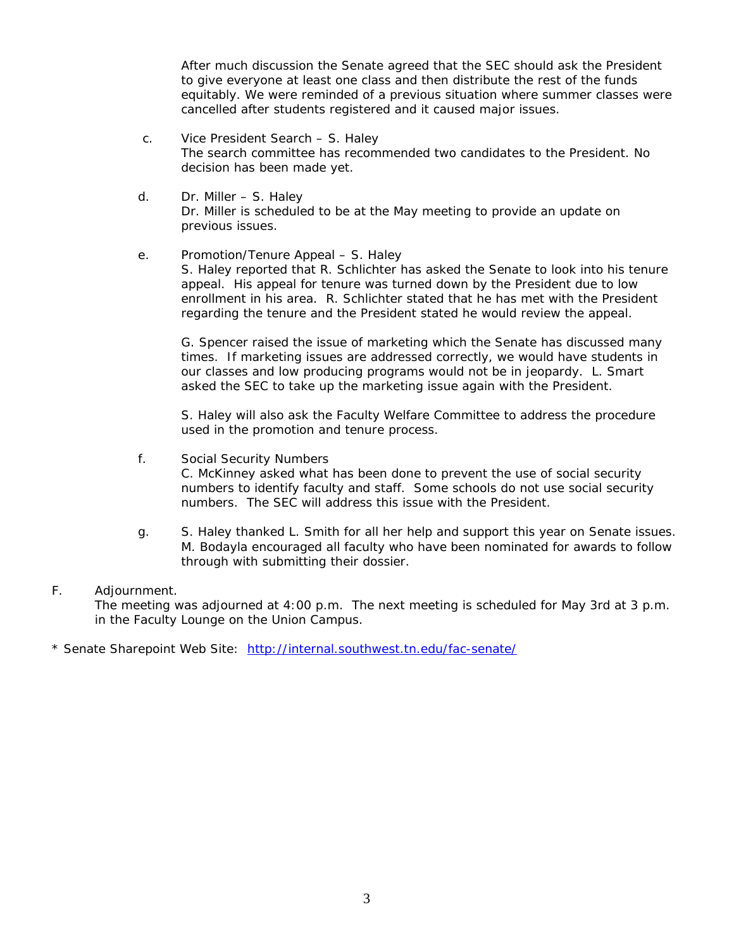After much discussion the Senate agreed that the SEC should ask the President to give everyone at least one class and then distribute the rest of the funds equitably. We were reminded of a previous situation where summer classes were cancelled after students registered and it caused major issues.

- c. Vice President Search S. Haley The search committee has recommended two candidates to the President. No decision has been made yet.
- d. Dr. Miller S. Haley Dr. Miller is scheduled to be at the May meeting to provide an update on previous issues.

# e. Promotion/Tenure Appeal – S. Haley

 S. Haley reported that R. Schlichter has asked the Senate to look into his tenure appeal. His appeal for tenure was turned down by the President due to low enrollment in his area. R. Schlichter stated that he has met with the President regarding the tenure and the President stated he would review the appeal.

 G. Spencer raised the issue of marketing which the Senate has discussed many times. If marketing issues are addressed correctly, we would have students in our classes and low producing programs would not be in jeopardy. L. Smart asked the SEC to take up the marketing issue again with the President.

 S. Haley will also ask the Faculty Welfare Committee to address the procedure used in the promotion and tenure process.

f. Social Security Numbers

 C. McKinney asked what has been done to prevent the use of social security numbers to identify faculty and staff. Some schools do not use social security numbers. The SEC will address this issue with the President.

 g. S. Haley thanked L. Smith for all her help and support this year on Senate issues. M. Bodayla encouraged all faculty who have been nominated for awards to follow through with submitting their dossier.

## F. Adjournment.

The meeting was adjourned at 4:00 p.m. The next meeting is scheduled for May 3rd at 3 p.m. in the Faculty Lounge on the Union Campus.

\* Senate Sharepoint Web Site: <http://internal.southwest.tn.edu/fac-senate/>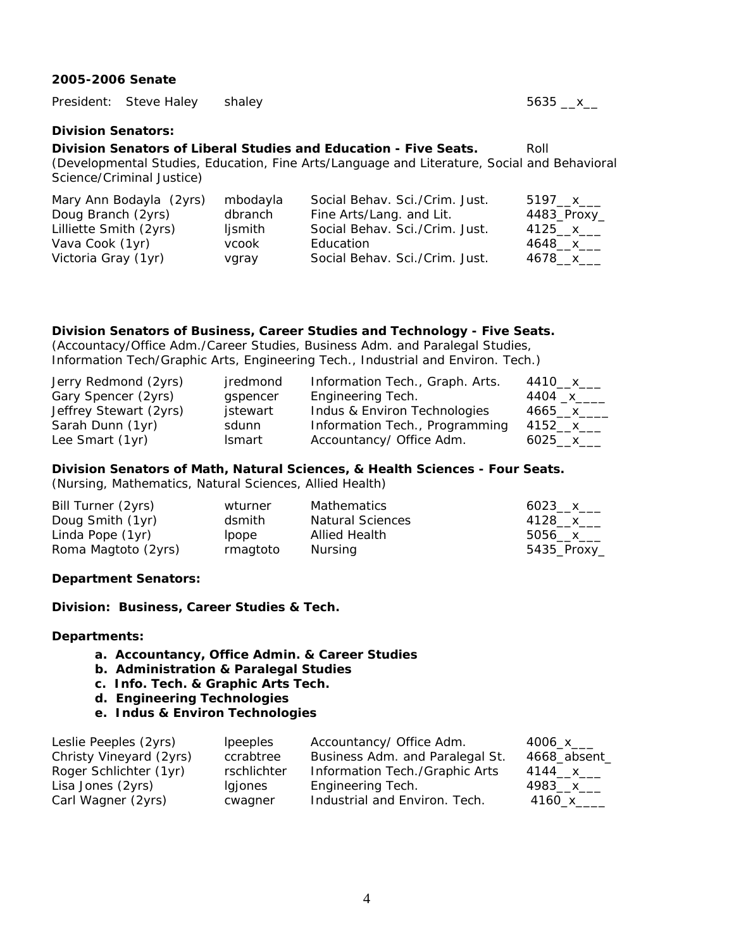#### **2005-2006 Senate**

|                                                                                                                          | President: Steve Haley  | shaley              |                                                            | $5635 - x$            |
|--------------------------------------------------------------------------------------------------------------------------|-------------------------|---------------------|------------------------------------------------------------|-----------------------|
| <b>Division Senators:</b>                                                                                                |                         |                     |                                                            |                       |
| Division Senators of Liberal Studies and Education - Five Seats.<br>Roll                                                 |                         |                     |                                                            |                       |
| (Developmental Studies, Education, Fine Arts/Language and Literature, Social and Behavioral<br>Science/Criminal Justice) |                         |                     |                                                            |                       |
| Doug Branch (2yrs)                                                                                                       | Mary Ann Bodayla (2yrs) | mbodayla<br>dbranch | Social Behav. Sci./Crim. Just.<br>Fine Arts/Lang. and Lit. | 5197 x<br>4483_Proxy_ |

| dbranch      |                                | $4483$ _Proxy_                                                          |
|--------------|--------------------------------|-------------------------------------------------------------------------|
| lismith      |                                | 4125___ x____                                                           |
| <b>VCOOK</b> |                                | 4648___x____                                                            |
| vgray        | Social Behav. Sci./Crim. Just. | 4678__x___                                                              |
|              |                                | Fine Arts/Lang. and Lit.<br>Social Behav. Sci./Crim. Just.<br>Education |

## **Division Senators of Business, Career Studies and Technology - Five Seats.**

(Accountacy/Office Adm./Career Studies, Business Adm. and Paralegal Studies, Information Tech/Graphic Arts, Engineering Tech., Industrial and Environ. Tech.)

| Jerry Redmond (2yrs)   | jredmond      | Information Tech., Graph. Arts. | 4410__х___  |
|------------------------|---------------|---------------------------------|-------------|
| Gary Spencer (2yrs)    | gspencer      | Engineering Tech.               | 4404 _x____ |
| Jeffrey Stewart (2yrs) | jstewart      | Indus & Environ Technologies    | 4665 x      |
| Sarah Dunn (1yr)       | sdunn         | Information Tech., Programming  | 4152__x___  |
| Lee Smart (1yr)        | <b>Ismart</b> | Accountancy/ Office Adm.        | 6025 $x$    |

#### **Division Senators of Math, Natural Sciences, & Health Sciences - Four Seats.**

(Nursing, Mathematics, Natural Sciences, Allied Health)

| Bill Turner (2yrs)  | wturner  | Mathematics             | 6023 x       |
|---------------------|----------|-------------------------|--------------|
| Doug Smith (1yr)    | dsmith   | <b>Natural Sciences</b> | 4128 x       |
| Linda Pope (1yr)    | lpope    | Allied Health           | 5056___x____ |
| Roma Magtoto (2yrs) | rmagtoto | Nursing                 | 5435_Proxy_  |

## **Department Senators:**

**Division: Business, Career Studies & Tech.** 

#### **Departments:**

- **a. Accountancy, Office Admin. & Career Studies**
- **b. Administration & Paralegal Studies**
- **c. Info. Tech. & Graphic Arts Tech.**
- **d. Engineering Technologies**
- **e. Indus & Environ Technologies**

| Leslie Peeples (2yrs)   | <i>lpeeples</i> | Accountancy/ Office Adm.        | 4006_x___    |
|-------------------------|-----------------|---------------------------------|--------------|
| Christy Vineyard (2yrs) | ccrabtree       | Business Adm. and Paralegal St. | 4668_absent_ |
| Roger Schlichter (1yr)  | rschlichter     | Information Tech./Graphic Arts  | 4144__x___   |
| Lisa Jones (2yrs)       | lgjones         | Engineering Tech.               | 4983__x___   |
| Carl Wagner (2yrs)      | cwagner         | Industrial and Environ. Tech.   | 4160 x       |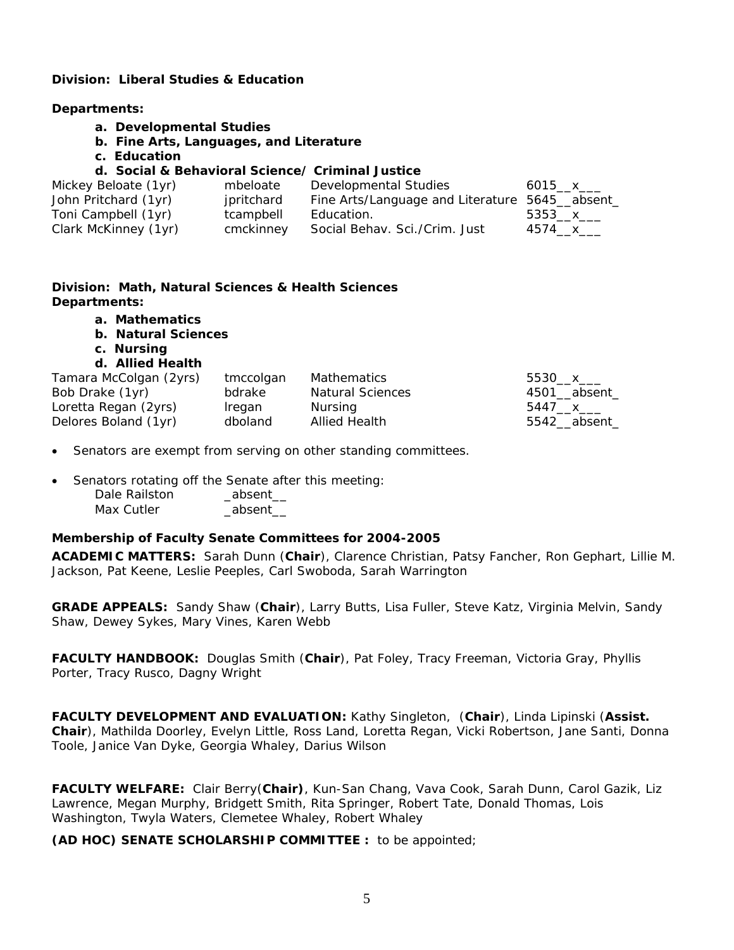## **Division: Liberal Studies & Education**

#### **Departments:**

- **a. Developmental Studies**
- **b. Fine Arts, Languages, and Literature**
- **c. Education**

# **d. Social & Behavioral Science/ Criminal Justice**

| Mickey Beloate (1yr) | mbeloate   | Developmental Studies                           | 6015 $x$ |
|----------------------|------------|-------------------------------------------------|----------|
| John Pritchard (1yr) | jpritchard | Fine Arts/Language and Literature 5645__absent_ |          |
| Toni Campbell (1yr)  | tcampbell  | Education.                                      | 5353 x   |
| Clark McKinney (1yr) | cmckinney  | Social Behav. Sci./Crim. Just                   | 4574 x   |

## **Division: Math, Natural Sciences & Health Sciences Departments:**

- **a. Mathematics**
- **b. Natural Sciences**
- **c. Nursing**
- **d. Allied Health**

| Tamara McColgan (2yrs) | tmccolgan | Mathematics             | 5530__x___   |
|------------------------|-----------|-------------------------|--------------|
| Bob Drake (1yr)        | bdrake    | <b>Natural Sciences</b> | 4501 absent  |
| Loretta Regan (2yrs)   | Iregan    | Nursing                 | 5447 x ___   |
| Delores Boland (1yr)   | dboland   | <b>Allied Health</b>    | 5542_absent_ |

• Senators are exempt from serving on other standing committees.

• Senators rotating off the Senate after this meeting:

| Dale Railston | absent |
|---------------|--------|
| Max Cutler    | absent |

## **Membership of Faculty Senate Committees for 2004-2005**

**ACADEMIC MATTERS:** Sarah Dunn (**Chair**), Clarence Christian, Patsy Fancher, Ron Gephart, Lillie M. Jackson, Pat Keene, Leslie Peeples, Carl Swoboda, Sarah Warrington

**GRADE APPEALS:** Sandy Shaw (**Chair**), Larry Butts, Lisa Fuller, Steve Katz, Virginia Melvin, Sandy Shaw, Dewey Sykes, Mary Vines, Karen Webb

**FACULTY HANDBOOK:** Douglas Smith (**Chair**), Pat Foley, Tracy Freeman, Victoria Gray, Phyllis Porter, Tracy Rusco, Dagny Wright

**FACULTY DEVELOPMENT AND EVALUATION:** Kathy Singleton, (**Chair**), Linda Lipinski (**Assist. Chair**), Mathilda Doorley, Evelyn Little, Ross Land, Loretta Regan, Vicki Robertson, Jane Santi, Donna Toole, Janice Van Dyke, Georgia Whaley, Darius Wilson

**FACULTY WELFARE:** Clair Berry(**Chair)**, Kun-San Chang, Vava Cook, Sarah Dunn, Carol Gazik, Liz Lawrence, Megan Murphy, Bridgett Smith, Rita Springer, Robert Tate, Donald Thomas, Lois Washington, Twyla Waters, Clemetee Whaley, Robert Whaley

**(AD HOC) SENATE SCHOLARSHIP COMMITTEE :** to be appointed;